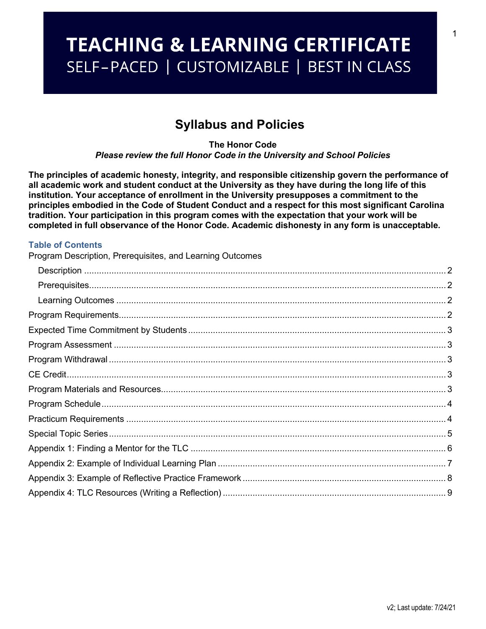# **TEACHING & LEARNING CERTIFICATE** SELF-PACED | CUSTOMIZABLE | BEST IN CLASS

# **Syllabus and Policies**

**The Honor Code** *Please review the full Honor Code in the University and School Policies*

**The principles of academic honesty, integrity, and responsible citizenship govern the performance of all academic work and student conduct at the University as they have during the long life of this institution. Your acceptance of enrollment in the University presupposes a commitment to the principles embodied in the Code of Student Conduct and a respect for this most significant Carolina tradition. Your participation in this program comes with the expectation that your work will be completed in full observance of the Honor Code. Academic dishonesty in any form is unacceptable.**

## **Table of Contents**

Program Description, [Prerequisites,](#page-1-0) and Learning Outcomes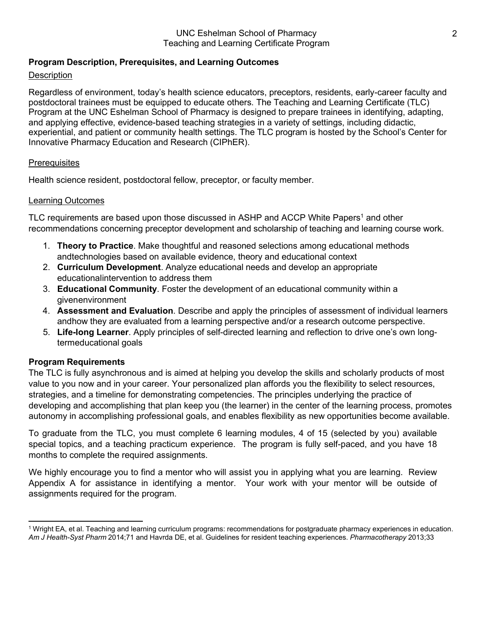## <span id="page-1-0"></span>**Program Description, Prerequisites, and Learning Outcomes**

## <span id="page-1-1"></span>**Description**

Regardless of environment, today's health science educators, preceptors, residents, early-career faculty and postdoctoral trainees must be equipped to educate others. The Teaching and Learning Certificate (TLC) Program at the UNC Eshelman School of Pharmacy is designed to prepare trainees in identifying, adapting, and applying effective, evidence-based teaching strategies in a variety of settings, including didactic, experiential, and patient or community health settings. The TLC program is hosted by the School's Center for Innovative Pharmacy Education and Research (CIPhER).

### <span id="page-1-2"></span>**Prerequisites**

Health science resident, postdoctoral fellow, preceptor, or faculty member.

### <span id="page-1-3"></span>Learning Outcomes

TLC requirements are based upon those discussed in ASHP and ACCP White Papers<sup>1</sup> and other recommendations concerning preceptor development and scholarship of teaching and learning course work.

- 1. **Theory to Practice**. Make thoughtful and reasoned selections among educational methods andtechnologies based on available evidence, theory and educational context
- 2. **Curriculum Development**. Analyze educational needs and develop an appropriate educationalintervention to address them
- 3. **Educational Community**. Foster the development of an educational community within a givenenvironment
- 4. **Assessment and Evaluation**. Describe and apply the principles of assessment of individual learners andhow they are evaluated from a learning perspective and/or a research outcome perspective.
- 5. **Life-long Learner**. Apply principles of self-directed learning and reflection to drive one's own longtermeducational goals

## <span id="page-1-4"></span>**Program Requirements**

The TLC is fully asynchronous and is aimed at helping you develop the skills and scholarly products of most value to you now and in your career. Your personalized plan affords you the flexibility to select resources, strategies, and a timeline for demonstrating competencies. The principles underlying the practice of developing and accomplishing that plan keep you (the learner) in the center of the learning process, promotes autonomy in accomplishing professional goals, and enables flexibility as new opportunities become available.

To graduate from the TLC, you must complete 6 learning modules, 4 of 15 (selected by you) available special topics, and a teaching practicum experience. The program is fully self-paced, and you have 18 months to complete the required assignments.

We highly encourage you to find a mentor who will assist you in applying what you are learning. Review Appendix A for assistance in identifying a mentor. Your work with your mentor will be outside of assignments required for the program.

<span id="page-1-5"></span><sup>1</sup> Wright EA, et al. Teaching and learning curriculum programs: recommendations for postgraduate pharmacy experiences in education. *Am J Health-Syst Pharm* 2014;71 and Havrda DE, et al. Guidelines for resident teaching experiences. *Pharmacotherapy* 2013;33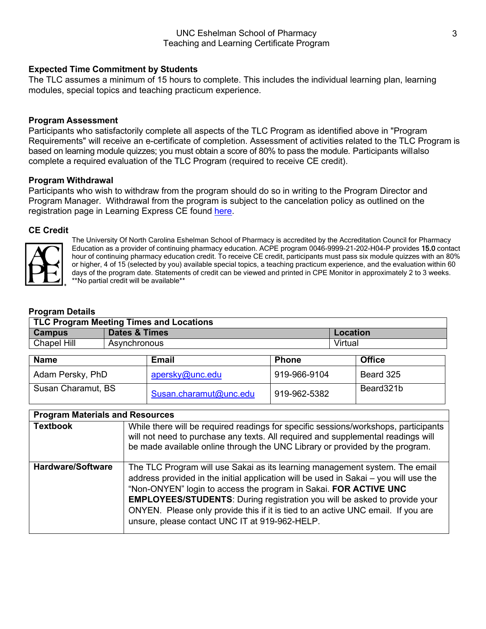<span id="page-2-0"></span>The TLC assumes a minimum of 15 hours to complete. This includes the individual learning plan, learning modules, special topics and teaching practicum experience.

## <span id="page-2-1"></span>**Program Assessment**

Participants who satisfactorily complete all aspects of the TLC Program as identified above in "Program Requirements" will receive an e-certificate of completion. Assessment of activities related to the TLC Program is based on learning module quizzes; you must obtain a score of 80% to pass the module. Participants will also complete a required evaluation of the TLC Program (required to receive CE credit).

## **Program Withdrawal**

Participants who wish to withdraw from the program should do so in writing to the Program Director and Program Manager. Withdrawal from the program is subject to the cancelation policy as outlined on the registration page in Learning Express CE found [here.](https://cipher.learningexpressce.com/index.cfm?fa=view&eventID=19078&1627395557588&preview=true&aregid=leadmin1627395557588)

## <span id="page-2-2"></span>**CE Credit**



The University Of North Carolina Eshelman School of Pharmacy is accredited by the Accreditation Council for Pharmacy Education as a provider of continuing pharmacy education. ACPE program 0046-9999-21-202-H04-P provides 15.0 contact hour of continuing pharmacy education credit. To receive CE credit, participants must pass six module quizzes with an 80% or higher, 4 of 15 (selected by you) available special topics, a teaching practicum experience, and the evaluation within 60 days of the program date. Statements of credit can be viewed and printed in CPE Monitor in approximately 2 to 3 weeks. \*\*No partial credit will be available\*\*

## **Program Details**

| <b>TLC Program Meeting Times and Locations</b> |                          |                        |              |               |  |
|------------------------------------------------|--------------------------|------------------------|--------------|---------------|--|
| <b>Campus</b>                                  | <b>Dates &amp; Times</b> |                        |              | Location      |  |
| Chapel Hill                                    | Asynchronous             |                        |              | Virtual       |  |
| <b>Name</b>                                    |                          | <b>Email</b>           | <b>Phone</b> | <b>Office</b> |  |
| Adam Persky, PhD                               |                          | apersky@unc.edu        | 919-966-9104 | Beard 325     |  |
| Susan Charamut, BS                             |                          | Susan.charamut@unc.edu | 919-962-5382 | Beard321b     |  |

| <b>Program Materials and Resources</b> |                                                                                                                                                                                                                                                                                                                                                                                                                                                                   |
|----------------------------------------|-------------------------------------------------------------------------------------------------------------------------------------------------------------------------------------------------------------------------------------------------------------------------------------------------------------------------------------------------------------------------------------------------------------------------------------------------------------------|
| <b>Textbook</b>                        | While there will be required readings for specific sessions/workshops, participants<br>will not need to purchase any texts. All required and supplemental readings will<br>be made available online through the UNC Library or provided by the program.                                                                                                                                                                                                           |
| <b>Hardware/Software</b>               | The TLC Program will use Sakai as its learning management system. The email<br>address provided in the initial application will be used in Sakai - you will use the<br>"Non-ONYEN" login to access the program in Sakai. FOR ACTIVE UNC<br><b>EMPLOYEES/STUDENTS:</b> During registration you will be asked to provide your<br>ONYEN. Please only provide this if it is tied to an active UNC email. If you are<br>unsure, please contact UNC IT at 919-962-HELP. |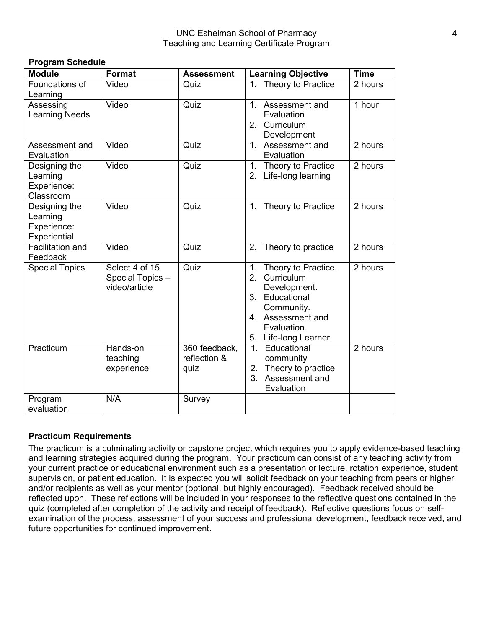| <b>Module</b>                                            | <b>Format</b>                                       | <b>Assessment</b>                     | <b>Learning Objective</b>                                                                                                                                              | <b>Time</b> |
|----------------------------------------------------------|-----------------------------------------------------|---------------------------------------|------------------------------------------------------------------------------------------------------------------------------------------------------------------------|-------------|
| Foundations of<br>Learning                               | Video                                               | Quiz                                  | Theory to Practice<br>1 <sub>1</sub>                                                                                                                                   | 2 hours     |
| Assessing<br><b>Learning Needs</b>                       | Video                                               | Quiz                                  | 1. Assessment and<br>Evaluation<br>2. Curriculum<br>Development                                                                                                        | 1 hour      |
| Assessment and<br>Evaluation                             | Video                                               | Quiz                                  | 1. Assessment and<br>Evaluation                                                                                                                                        | 2 hours     |
| Designing the<br>Learning<br>Experience:<br>Classroom    | Video                                               | Quiz                                  | Theory to Practice<br>1.<br>2. Life-long learning                                                                                                                      | 2 hours     |
| Designing the<br>Learning<br>Experience:<br>Experiential | Video                                               | Quiz                                  | Theory to Practice<br>1.                                                                                                                                               | 2 hours     |
| <b>Facilitation and</b><br>Feedback                      | Video                                               | Quiz                                  | Theory to practice<br>2.                                                                                                                                               | 2 hours     |
| <b>Special Topics</b>                                    | Select 4 of 15<br>Special Topics -<br>video/article | Quiz                                  | Theory to Practice.<br>1.<br>2 <sup>2</sup><br>Curriculum<br>Development.<br>3. Educational<br>Community.<br>4. Assessment and<br>Evaluation.<br>5. Life-long Learner. | 2 hours     |
| Practicum                                                | Hands-on<br>teaching<br>experience                  | 360 feedback,<br>reflection &<br>quiz | 1. Educational<br>community<br>2. Theory to practice<br>3.<br>Assessment and<br>Evaluation                                                                             | 2 hours     |
| Program<br>evaluation                                    | N/A                                                 | Survey                                |                                                                                                                                                                        |             |

## **Practicum Requirements**

<span id="page-3-0"></span>**Program Schedule**

The practicum is a culminating activity or capstone project which requires you to apply evidence-based teaching and learning strategies acquired during the program. Your practicum can consist of any teaching activity from your current practice or educational environment such as a presentation or lecture, rotation experience, student supervision, or patient education. It is expected you will solicit feedback on your teaching from peers or higher and/or recipients as well as your mentor (optional, but highly encouraged). Feedback received should be reflected upon. These reflections will be included in your responses to the reflective questions contained in the quiz (completed after completion of the activity and receipt of feedback). Reflective questions focus on selfexamination of the process, assessment of your success and professional development, feedback received, and future opportunities for continued improvement.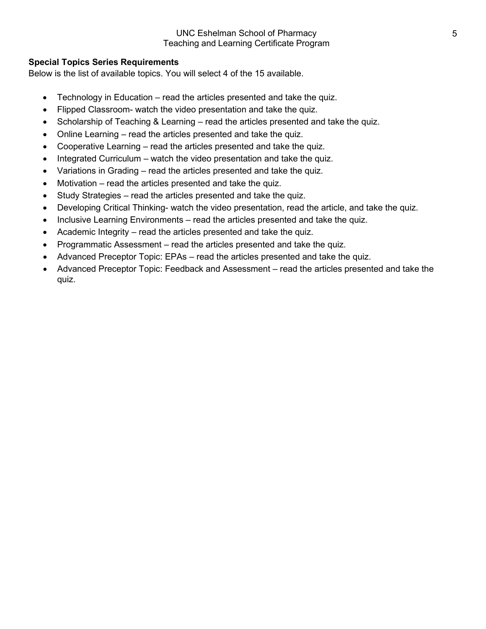## <span id="page-4-0"></span>**Special Topics Series Requirements**

Below is the list of available topics. You will select 4 of the 15 available.

- Technology in Education read the articles presented and take the quiz.
- Flipped Classroom- watch the video presentation and take the quiz.
- Scholarship of Teaching & Learning read the articles presented and take the quiz.
- Online Learning read the articles presented and take the quiz.
- Cooperative Learning read the articles presented and take the quiz.
- Integrated Curriculum watch the video presentation and take the quiz.
- Variations in Grading read the articles presented and take the quiz.
- Motivation read the articles presented and take the quiz.
- Study Strategies read the articles presented and take the quiz.
- Developing Critical Thinking- watch the video presentation, read the article, and take the quiz.
- Inclusive Learning Environments read the articles presented and take the quiz.
- Academic Integrity read the articles presented and take the quiz.
- Programmatic Assessment read the articles presented and take the quiz.
- Advanced Preceptor Topic: EPAs read the articles presented and take the quiz.
- Advanced Preceptor Topic: Feedback and Assessment read the articles presented and take the quiz.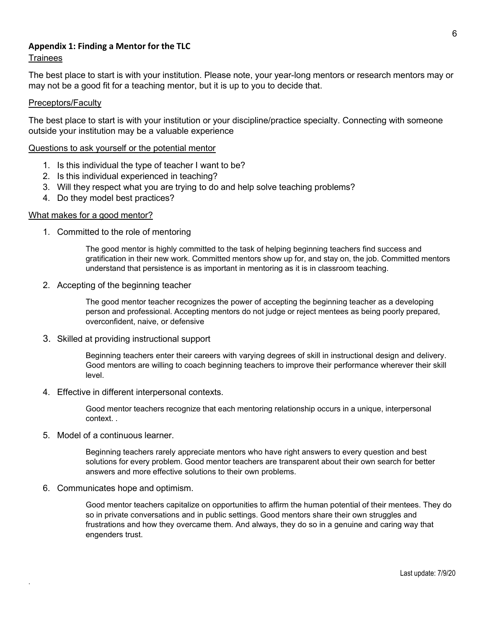## <span id="page-5-0"></span>**Appendix 1: Finding a Mentor for the TLC**

## **Trainees**

The best place to start is with your institution. Please note, your year-long mentors or research mentors may or may not be a good fit for a teaching mentor, but it is up to you to decide that.

#### Preceptors/Faculty

The best place to start is with your institution or your discipline/practice specialty. Connecting with someone outside your institution may be a valuable experience

#### Questions to ask yourself or the potential mentor

- 1. Is this individual the type of teacher I want to be?
- 2. Is this individual experienced in teaching?
- 3. Will they respect what you are trying to do and help solve teaching problems?
- 4. Do they model best practices?

#### What makes for a good mentor?

1. Committed to the role of mentoring

The good mentor is highly committed to the task of helping beginning teachers find success and gratification in their new work. Committed mentors show up for, and stay on, the job. Committed mentors understand that persistence is as important in mentoring as it is in classroom teaching.

2. Accepting of the beginning teacher

The good mentor teacher recognizes the power of accepting the beginning teacher as a developing person and professional. Accepting mentors do not judge or reject mentees as being poorly prepared, overconfident, naive, or defensive

3. Skilled at providing instructional support

Beginning teachers enter their careers with varying degrees of skill in instructional design and delivery. Good mentors are willing to coach beginning teachers to improve their performance wherever their skill level.

4. Effective in different interpersonal contexts.

Good mentor teachers recognize that each mentoring relationship occurs in a unique, interpersonal context. .

5. Model of a continuous learner.

Beginning teachers rarely appreciate mentors who have right answers to every question and best solutions for every problem. Good mentor teachers are transparent about their own search for better answers and more effective solutions to their own problems.

6. Communicates hope and optimism.

.

Good mentor teachers capitalize on opportunities to affirm the human potential of their mentees. They do so in private conversations and in public settings. Good mentors share their own struggles and frustrations and how they overcame them. And always, they do so in a genuine and caring way that engenders trust.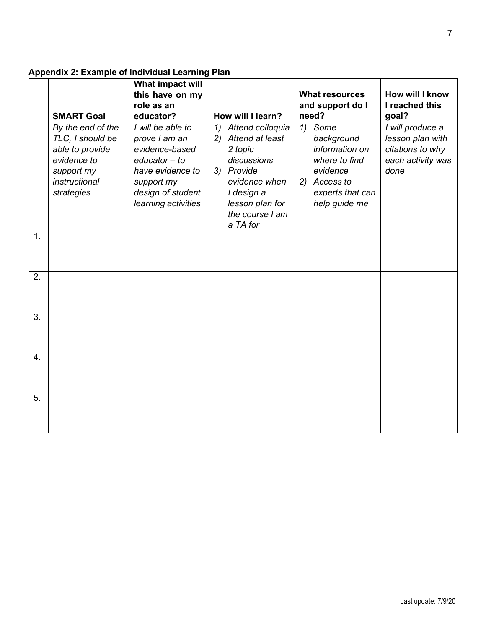# <span id="page-6-0"></span>**Appendix 2: Example of Individual Learning Plan**

|    | <b>SMART Goal</b>                                                                                                    | What impact will<br>this have on my<br>role as an<br>educator?                                                                                        | How will I learn?                                                                                                                                                     | <b>What resources</b><br>and support do I<br>need?                                                                              | How will I know<br>I reached this<br>goal?                                            |
|----|----------------------------------------------------------------------------------------------------------------------|-------------------------------------------------------------------------------------------------------------------------------------------------------|-----------------------------------------------------------------------------------------------------------------------------------------------------------------------|---------------------------------------------------------------------------------------------------------------------------------|---------------------------------------------------------------------------------------|
|    | By the end of the<br>TLC, I should be<br>able to provide<br>evidence to<br>support my<br>instructional<br>strategies | I will be able to<br>prove I am an<br>evidence-based<br>$educator - to$<br>have evidence to<br>support my<br>design of student<br>learning activities | Attend colloquia<br>1)<br>2) Attend at least<br>2 topic<br>discussions<br>3) Provide<br>evidence when<br>I design a<br>lesson plan for<br>the course I am<br>a TA for | Some<br>1)<br>background<br>information on<br>where to find<br>evidence<br>Access to<br>2)<br>experts that can<br>help guide me | I will produce a<br>lesson plan with<br>citations to why<br>each activity was<br>done |
| 1. |                                                                                                                      |                                                                                                                                                       |                                                                                                                                                                       |                                                                                                                                 |                                                                                       |
| 2. |                                                                                                                      |                                                                                                                                                       |                                                                                                                                                                       |                                                                                                                                 |                                                                                       |
| 3. |                                                                                                                      |                                                                                                                                                       |                                                                                                                                                                       |                                                                                                                                 |                                                                                       |
| 4. |                                                                                                                      |                                                                                                                                                       |                                                                                                                                                                       |                                                                                                                                 |                                                                                       |
| 5. |                                                                                                                      |                                                                                                                                                       |                                                                                                                                                                       |                                                                                                                                 |                                                                                       |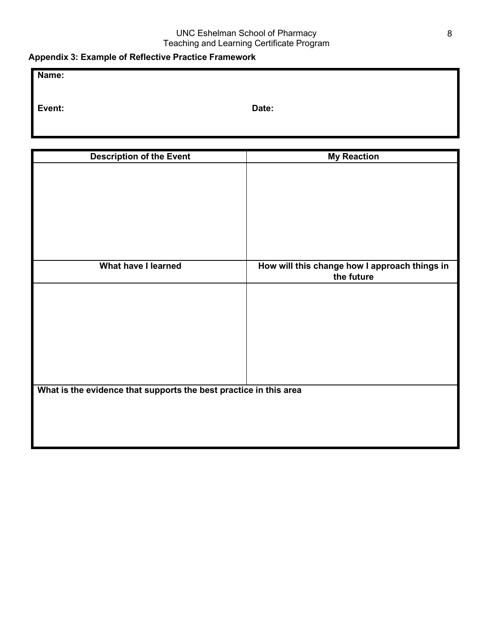## <span id="page-7-0"></span>**Appendix 3: Example of Reflective Practice Framework**

**Event: Date:**

| <b>Description of the Event</b>                                   | <b>My Reaction</b>                            |  |
|-------------------------------------------------------------------|-----------------------------------------------|--|
|                                                                   |                                               |  |
|                                                                   |                                               |  |
|                                                                   |                                               |  |
|                                                                   |                                               |  |
|                                                                   |                                               |  |
|                                                                   |                                               |  |
|                                                                   |                                               |  |
| What have I learned                                               | How will this change how I approach things in |  |
|                                                                   | the future                                    |  |
|                                                                   |                                               |  |
|                                                                   |                                               |  |
|                                                                   |                                               |  |
|                                                                   |                                               |  |
|                                                                   |                                               |  |
|                                                                   |                                               |  |
|                                                                   |                                               |  |
|                                                                   |                                               |  |
| What is the evidence that supports the best practice in this area |                                               |  |
|                                                                   |                                               |  |
|                                                                   |                                               |  |
|                                                                   |                                               |  |
|                                                                   |                                               |  |